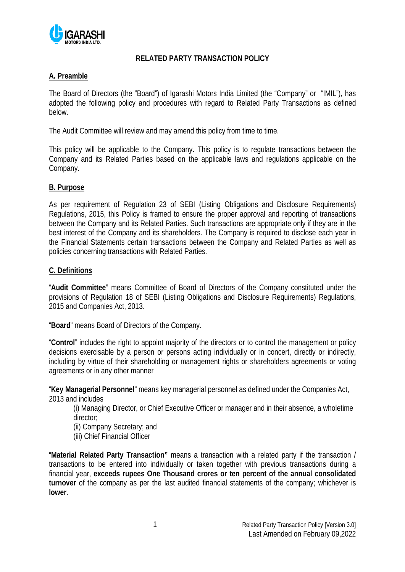

### **RELATED PARTY TRANSACTION POLICY**

### **A. Preamble**

The Board of Directors (the "Board") of Igarashi Motors India Limited (the "Company" or "IMIL"), has adopted the following policy and procedures with regard to Related Party Transactions as defined below.

The Audit Committee will review and may amend this policy from time to time.

This policy will be applicable to the Company**.** This policy is to regulate transactions between the Company and its Related Parties based on the applicable laws and regulations applicable on the Company.

## **B. Purpose**

As per requirement of Regulation 23 of SEBI (Listing Obligations and Disclosure Requirements) Regulations, 2015, this Policy is framed to ensure the proper approval and reporting of transactions between the Company and its Related Parties. Such transactions are appropriate only if they are in the best interest of the Company and its shareholders. The Company is required to disclose each year in the Financial Statements certain transactions between the Company and Related Parties as well as policies concerning transactions with Related Parties.

### **C. Definitions**

"**Audit Committee**" means Committee of Board of Directors of the Company constituted under the provisions of Regulation 18 of SEBI (Listing Obligations and Disclosure Requirements) Regulations, 2015 and Companies Act, 2013.

"**Board**" means Board of Directors of the Company.

"**Control**" includes the right to appoint majority of the directors or to control the management or policy decisions exercisable by a person or persons acting individually or in concert, directly or indirectly, including by virtue of their shareholding or management rights or shareholders agreements or voting agreements or in any other manner

"**Key Managerial Personnel**" means key managerial personnel as defined under the Companies Act, 2013 and includes

(i) Managing Director, or Chief Executive Officer or manager and in their absence, a wholetime director;

(ii) Company Secretary; and

(iii) Chief Financial Officer

"**Material Related Party Transaction"** means a transaction with a related party if the transaction / transactions to be entered into individually or taken together with previous transactions during a financial year, **exceeds rupees One Thousand crores or ten percent of the annual consolidated turnover** of the company as per the last audited financial statements of the company; whichever is **lower**.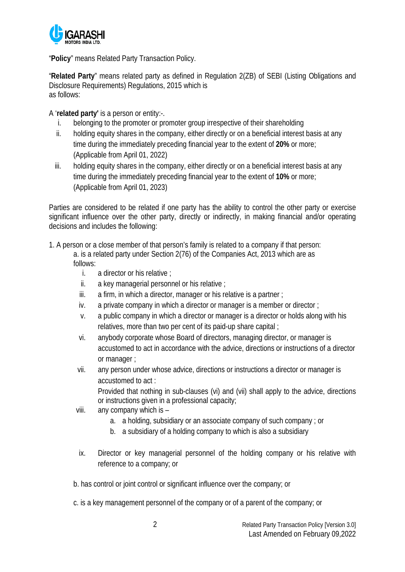

"**Policy**" means Related Party Transaction Policy.

"**Related Party**" means related party as defined in Regulation 2(ZB) of SEBI (Listing Obligations and Disclosure Requirements) Regulations, 2015 which is as follows:

A '**related party'** is a person or entity:-.

- i. belonging to the promoter or promoter group irrespective of their shareholding
- ii. holding equity shares in the company, either directly or on a beneficial interest basis at any time during the immediately preceding financial year to the extent of **20%** or more; (Applicable from April 01, 2022)
- iii. holding equity shares in the company, either directly or on a beneficial interest basis at any time during the immediately preceding financial year to the extent of **10%** or more; (Applicable from April 01, 2023)

Parties are considered to be related if one party has the ability to control the other party or exercise significant influence over the other party, directly or indirectly, in making financial and/or operating decisions and includes the following:

1. A person or a close member of that person's family is related to a company if that person:

- a. is a related party under Section 2(76) of the Companies Act, 2013 which are as follows:
	- i. a director or his relative ;
	- ii. a key managerial personnel or his relative :
	- iii. a firm, in which a director, manager or his relative is a partner  $\chi$
	- iv. a private company in which a director or manager is a member or director ;
	- v. a public company in which a director or manager is a director or holds along with his relatives, more than two per cent of its paid-up share capital ;
	- vi. anybody corporate whose Board of directors, managing director, or manager is accustomed to act in accordance with the advice, directions or instructions of a director or manager ;
	- vii. any person under whose advice, directions or instructions a director or manager is accustomed to act :

Provided that nothing in sub-clauses (vi) and (vii) shall apply to the advice, directions or instructions given in a professional capacity;

- viii. any company which is
	- a. a holding, subsidiary or an associate company of such company ; or
	- b. a subsidiary of a holding company to which is also a subsidiary
- ix. Director or key managerial personnel of the holding company or his relative with reference to a company; or

b. has control or joint control or significant influence over the company; or

c. is a key management personnel of the company or of a parent of the company; or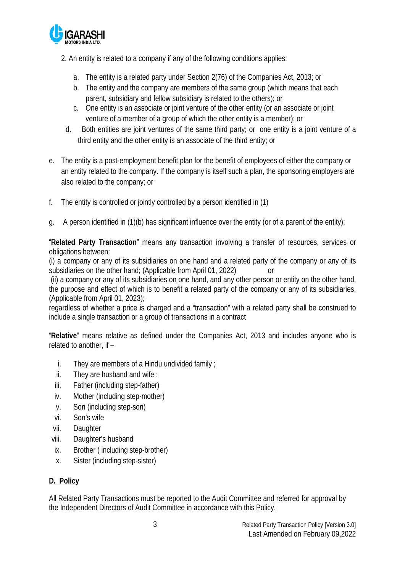

2. An entity is related to a company if any of the following conditions applies:

- a. The entity is a related party under Section 2(76) of the Companies Act, 2013; or
- b. The entity and the company are members of the same group (which means that each parent, subsidiary and fellow subsidiary is related to the others); or
- c. One entity is an associate or joint venture of the other entity (or an associate or joint venture of a member of a group of which the other entity is a member); or
- d. Both entities are joint ventures of the same third party; or one entity is a joint venture of a third entity and the other entity is an associate of the third entity; or
- e. The entity is a post-employment benefit plan for the benefit of employees of either the company or an entity related to the company. If the company is itself such a plan, the sponsoring employers are also related to the company; or
- f. The entity is controlled or jointly controlled by a person identified in (1)
- g. A person identified in (1)(b) has significant influence over the entity (or of a parent of the entity);

"**Related Party Transaction**" means any transaction involving a transfer of resources, services or obligations between:

(i) a company or any of its subsidiaries on one hand and a related party of the company or any of its subsidiaries on the other hand; (Applicable from April 01, 2022)

(ii) a company or any of its subsidiaries on one hand, and any other person or entity on the other hand, the purpose and effect of which is to benefit a related party of the company or any of its subsidiaries, (Applicable from April 01, 2023);

regardless of whether a price is charged and a "transaction" with a related party shall be construed to include a single transaction or a group of transactions in a contract

"**Relative**" means relative as defined under the Companies Act, 2013 and includes anyone who is related to another, if –

- i. They are members of a Hindu undivided family ;
- ii. They are husband and wife ;
- iii. Father (including step-father)
- iv. Mother (including step-mother)
- v. Son (including step-son)
- vi. Son's wife
- vii. Daughter
- viii. Daughter's husband
- ix. Brother ( including step-brother)
- x. Sister (including step-sister)

## **D. Policy**

All Related Party Transactions must be reported to the Audit Committee and referred for approval by the Independent Directors of Audit Committee in accordance with this Policy.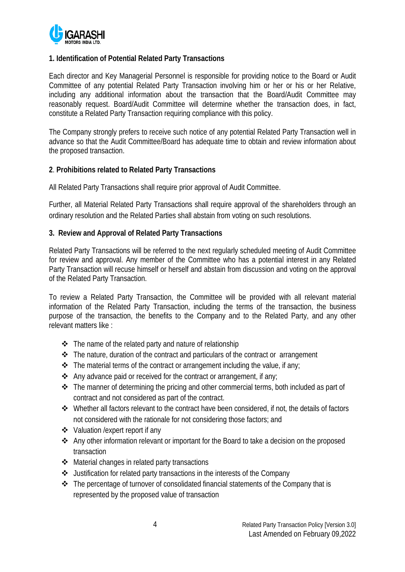

### **1. Identification of Potential Related Party Transactions**

Each director and Key Managerial Personnel is responsible for providing notice to the Board or Audit Committee of any potential Related Party Transaction involving him or her or his or her Relative, including any additional information about the transaction that the Board/Audit Committee may reasonably request. Board/Audit Committee will determine whether the transaction does, in fact, constitute a Related Party Transaction requiring compliance with this policy.

The Company strongly prefers to receive such notice of any potential Related Party Transaction well in advance so that the Audit Committee/Board has adequate time to obtain and review information about the proposed transaction.

### **2**. **Prohibitions related to Related Party Transactions**

All Related Party Transactions shall require prior approval of Audit Committee.

Further, all Material Related Party Transactions shall require approval of the shareholders through an ordinary resolution and the Related Parties shall abstain from voting on such resolutions.

### **3. Review and Approval of Related Party Transactions**

Related Party Transactions will be referred to the next regularly scheduled meeting of Audit Committee for review and approval. Any member of the Committee who has a potential interest in any Related Party Transaction will recuse himself or herself and abstain from discussion and voting on the approval of the Related Party Transaction.

To review a Related Party Transaction, the Committee will be provided with all relevant material information of the Related Party Transaction, including the terms of the transaction, the business purpose of the transaction, the benefits to the Company and to the Related Party, and any other relevant matters like :

- $\div$  The name of the related party and nature of relationship
- $\triangle$  The nature, duration of the contract and particulars of the contract or arrangement
- $\triangle$  The material terms of the contract or arrangement including the value, if any;
- Any advance paid or received for the contract or arrangement, if any:
- \* The manner of determining the pricing and other commercial terms, both included as part of contract and not considered as part of the contract.
- Whether all factors relevant to the contract have been considered, if not, the details of factors not considered with the rationale for not considering those factors; and
- Valuation /expert report if any
- Any other information relevant or important for the Board to take a decision on the proposed transaction
- Material changes in related party transactions
- Justification for related party transactions in the interests of the Company
- $\cdot \cdot$  The percentage of turnover of consolidated financial statements of the Company that is represented by the proposed value of transaction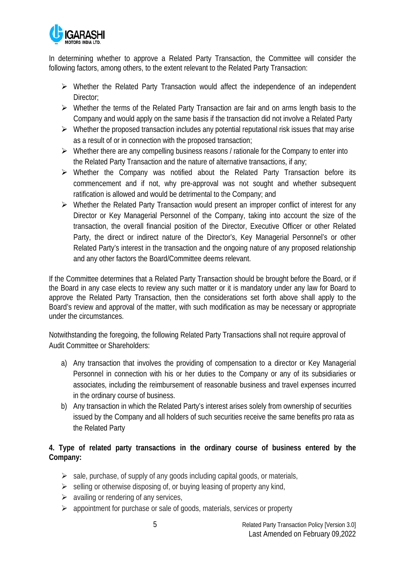

In determining whether to approve a Related Party Transaction, the Committee will consider the following factors, among others, to the extent relevant to the Related Party Transaction:

- $\triangleright$  Whether the Related Party Transaction would affect the independence of an independent Director:
- $\triangleright$  Whether the terms of the Related Party Transaction are fair and on arms length basis to the Company and would apply on the same basis if the transaction did not involve a Related Party
- $\triangleright$  Whether the proposed transaction includes any potential reputational risk issues that may arise as a result of or in connection with the proposed transaction;
- $\triangleright$  Whether there are any compelling business reasons / rationale for the Company to enter into the Related Party Transaction and the nature of alternative transactions, if any;
- Whether the Company was notified about the Related Party Transaction before its commencement and if not, why pre-approval was not sought and whether subsequent ratification is allowed and would be detrimental to the Company; and
- Whether the Related Party Transaction would present an improper conflict of interest for any Director or Key Managerial Personnel of the Company, taking into account the size of the transaction, the overall financial position of the Director, Executive Officer or other Related Party, the direct or indirect nature of the Director's, Key Managerial Personnel's or other Related Party's interest in the transaction and the ongoing nature of any proposed relationship and any other factors the Board/Committee deems relevant.

If the Committee determines that a Related Party Transaction should be brought before the Board, or if the Board in any case elects to review any such matter or it is mandatory under any law for Board to approve the Related Party Transaction, then the considerations set forth above shall apply to the Board's review and approval of the matter, with such modification as may be necessary or appropriate under the circumstances.

Notwithstanding the foregoing, the following Related Party Transactions shall not require approval of Audit Committee or Shareholders:

- a) Any transaction that involves the providing of compensation to a director or Key Managerial Personnel in connection with his or her duties to the Company or any of its subsidiaries or associates, including the reimbursement of reasonable business and travel expenses incurred in the ordinary course of business.
- b) Any transaction in which the Related Party's interest arises solely from ownership of securities issued by the Company and all holders of such securities receive the same benefits pro rata as the Related Party

# **4. Type of related party transactions in the ordinary course of business entered by the Company:**

- $\triangleright$  sale, purchase, of supply of any goods including capital goods, or materials,
- $\triangleright$  selling or otherwise disposing of, or buying leasing of property any kind,
- $\triangleright$  availing or rendering of any services,
- $\triangleright$  appointment for purchase or sale of goods, materials, services or property